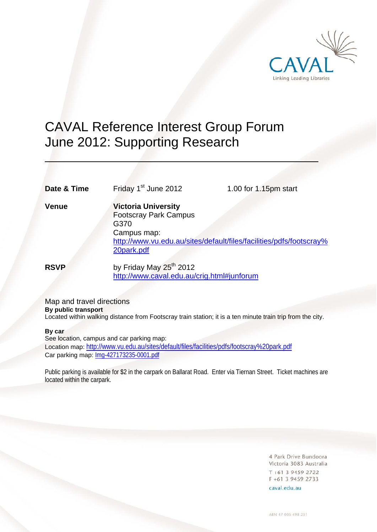

# CAVAL Reference Interest Group Forum June 2012: Supporting Research

**Date & Time** Friday 1<sup>st</sup> June 2012 1.00 for 1.15pm start

 $\overline{a}$ 

**Venue Victoria University**  Footscray Park Campus G370 Campus map: http://www.vu.edu.au/sites/default/files/facilities/pdfs/footscray% 20park.pdf

**RSVP** by Friday May 25<sup>th</sup> 2012 http://www.caval.edu.au/crig.html#junforum

Map and travel directions **By public transport**  Located within walking distance from Footscray train station; it is a ten minute train trip from the city.

# **By car**

See location, campus and car parking map: Location map: http://www.vu.edu.au/sites/default/files/facilities/pdfs/footscray%20park.pdf Car parking map: Img-427173235-0001.pdf

Public parking is available for \$2 in the carpark on Ballarat Road. Enter via Tiernan Street. Ticket machines are located within the carpark.

> 4 Park Drive Bundoora Victoria 3083 Australia  $T + 61$  3 9459 2722 F +61 3 9459 2733

caval.edu.au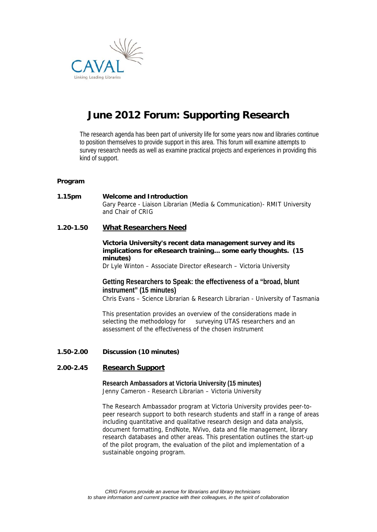

# **June 2012 Forum: Supporting Research**

The research agenda has been part of university life for some years now and libraries continue to position themselves to provide support in this area. This forum will examine attempts to survey research needs as well as examine practical projects and experiences in providing this kind of support.

# **Program**

# **1.15pm Welcome and Introduction** Gary Pearce - Liaison Librarian (Media & Communication)- RMIT University and Chair of CRIG

# **1.20-1.50 What Researchers Need**

# **Victoria University's recent data management survey and its implications for eResearch training... some early thoughts. (15 minutes)**

Dr Lyle Winton – Associate Director eResearch – Victoria University

# **Getting Researchers to Speak: the effectiveness of a "broad, blunt instrument" (15 minutes)**

Chris Evans – Science Librarian & Research Librarian - University of Tasmania

This presentation provides an overview of the considerations made in selecting the methodology for surveying UTAS researchers and an assessment of the effectiveness of the chosen instrument

# **1.50-2.00 Discussion (10 minutes)**

# **2.00-2.45 Research Support**

**Research Ambassadors at Victoria University (15 minutes)** Jenny Cameron - Research Librarian – Victoria University

The Research Ambassador program at Victoria University provides peer-topeer research support to both research students and staff in a range of areas including quantitative and qualitative research design and data analysis, document formatting, EndNote, NVivo, data and file management, library research databases and other areas. This presentation outlines the start-up of the pilot program, the evaluation of the pilot and implementation of a sustainable ongoing program.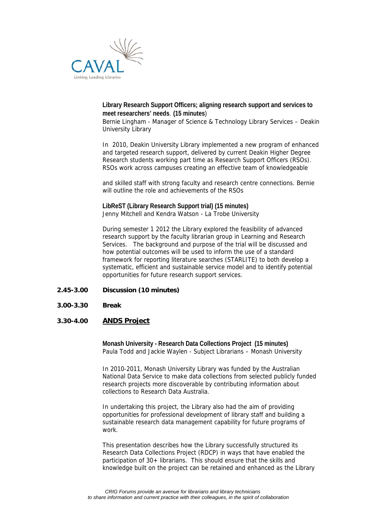

# **Library Research Support Officers; aligning research support and services to meet researchers' needs***.* **(15 minutes**)

Bernie Lingham - Manager of Science & Technology Library Services – Deakin University Library

In 2010, Deakin University Library implemented a new program of enhanced and targeted research support, delivered by current Deakin Higher Degree Research students working part time as Research Support Officers (RSOs). RSOs work across campuses creating an effective team of knowledgeable

and skilled staff with strong faculty and research centre connections. Bernie will outline the role and achievements of the RSOs

**LibReST (Library Research Support trial) (15 minutes)**  Jenny Mitchell and Kendra Watson - La Trobe University

During semester 1 2012 the Library explored the feasibility of advanced research support by the faculty librarian group in Learning and Research Services. The background and purpose of the trial will be discussed and how potential outcomes will be used to inform the use of a standard framework for reporting literature searches (STARLITE) to both develop a systematic, efficient and sustainable service model and to identify potential opportunities for future research support services.

#### **2.45-3.00 Discussion (10 minutes)**

**3.00-3.30 Break** 

# **3.30-4.00 ANDS Project**

**Monash University - Research Data Collections Project (15 minutes)** Paula Todd and Jackie Waylen - Subject Librarians – Monash University

In 2010-2011, Monash University Library was funded by the Australian National Data Service to make data collections from selected publicly funded research projects more discoverable by contributing information about collections to Research Data Australia.

In undertaking this project, the Library also had the aim of providing opportunities for professional development of library staff and building a sustainable research data management capability for future programs of work.

This presentation describes how the Library successfully structured its Research Data Collections Project (RDCP) in ways that have enabled the participation of 30+ librarians. This should ensure that the skills and knowledge built on the project can be retained and enhanced as the Library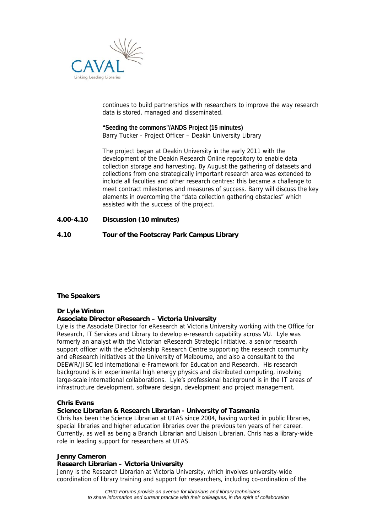

continues to build partnerships with researchers to improve the way research data is stored, managed and disseminated.

**"Seeding the commons"/ANDS Project (15 minutes)**  Barry Tucker - Project Officer – Deakin University Library

The project began at Deakin University in the early 2011 with the development of the Deakin Research Online repository to enable data collection storage and harvesting. By August the gathering of datasets and collections from one strategically important research area was extended to include all faculties and other research centres: this became a challenge to meet contract milestones and measures of success. Barry will discuss the key elements in overcoming the "data collection gathering obstacles" which assisted with the success of the project.

# **4.00-4.10 Discussion (10 minutes)**

# **4.10 Tour of the Footscray Park Campus Library**

#### **The Speakers**

# **Dr Lyle Winton**

# **Associate Director eResearch – Victoria University**

Lyle is the Associate Director for eResearch at Victoria University working with the Office for Research, IT Services and Library to develop e-research capability across VU. Lyle was formerly an analyst with the Victorian eResearch Strategic Initiative, a senior research support officer with the eScholarship Research Centre supporting the research community and eResearch initiatives at the University of Melbourne, and also a consultant to the DEEWR/JISC led international e-Framework for Education and Research. His research background is in experimental high energy physics and distributed computing, involving large-scale international collaborations. Lyle's professional background is in the IT areas of infrastructure development, software design, development and project management.

#### **Chris Evans**

# **Science Librarian & Research Librarian - University of Tasmania**

Chris has been the Science Librarian at UTAS since 2004, having worked in public libraries, special libraries and higher education libraries over the previous ten years of her career. Currently, as well as being a Branch Librarian and Liaison Librarian, Chris has a library-wide role in leading support for researchers at UTAS.

#### **Jenny Cameron**

#### **Research Librarian – Victoria University**

Jenny is the Research Librarian at Victoria University, which involves university-wide coordination of library training and support for researchers, including co-ordination of the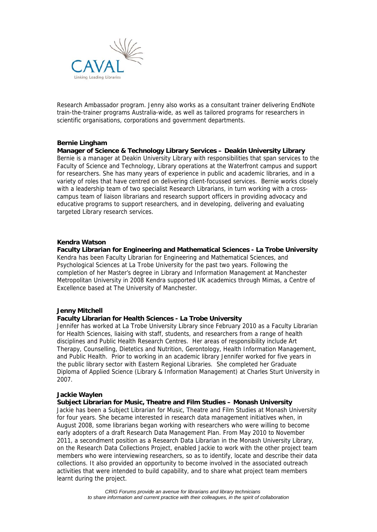

Research Ambassador program. Jenny also works as a consultant trainer delivering EndNote train-the-trainer programs Australia-wide, as well as tailored programs for researchers in scientific organisations, corporations and government departments.

#### **Bernie Lingham**

**Manager of Science & Technology Library Services – Deakin University Library**  Bernie is a manager at Deakin University Library with responsibilities that span services to the Faculty of Science and Technology, Library operations at the Waterfront campus and support for researchers. She has many years of experience in public and academic libraries, and in a variety of roles that have centred on delivering client-focussed services. Bernie works closely with a leadership team of two specialist Research Librarians, in turn working with a crosscampus team of liaison librarians and research support officers in providing advocacy and educative programs to support researchers, and in developing, delivering and evaluating targeted Library research services.

#### **Kendra Watson**

**Faculty Librarian for Engineering and Mathematical Sciences - La Trobe University**  Kendra has been Faculty Librarian for Engineering and Mathematical Sciences, and Psychological Sciences at La Trobe University for the past two years. Following the completion of her Master's degree in Library and Information Management at Manchester Metropolitan University in 2008 Kendra supported UK academics through Mimas, a Centre of Excellence based at The University of Manchester.

#### **Jenny Mitchell**

#### **Faculty Librarian for Health Sciences - La Trobe University**

Jennifer has worked at La Trobe University Library since February 2010 as a Faculty Librarian for Health Sciences, liaising with staff, students, and researchers from a range of health disciplines and Public Health Research Centres. Her areas of responsibility include Art Therapy, Counselling, Dietetics and Nutrition, Gerontology, Health Information Management, and Public Health. Prior to working in an academic library Jennifer worked for five years in the public library sector with Eastern Regional Libraries. She completed her Graduate Diploma of Applied Science (Library & Information Management) at Charles Sturt University in 2007.

#### **Jackie Waylen**

#### **Subject Librarian for Music, Theatre and Film Studies – Monash University**

Jackie has been a Subject Librarian for Music, Theatre and Film Studies at Monash University for four years. She became interested in research data management initiatives when, in August 2008, some librarians began working with researchers who were willing to become early adopters of a draft Research Data Management Plan. From May 2010 to November 2011, a secondment position as a Research Data Librarian in the Monash University Library, on the Research Data Collections Project, enabled Jackie to work with the other project team members who were interviewing researchers, so as to identify, locate and describe their data collections. It also provided an opportunity to become involved in the associated outreach activities that were intended to build capability, and to share what project team members learnt during the project.